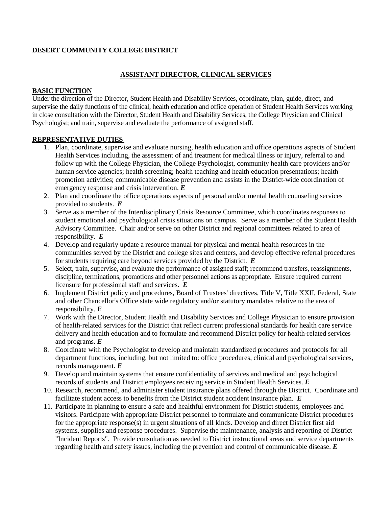## **DESERT COMMUNITY COLLEGE DISTRICT**

## **ASSISTANT DIRECTOR, CLINICAL SERVICES**

### **BASIC FUNCTION**

Under the direction of the Director, Student Health and Disability Services, coordinate, plan, guide, direct, and supervise the daily functions of the clinical, health education and office operation of Student Health Services working in close consultation with the Director, Student Health and Disability Services, the College Physician and Clinical Psychologist; and train, supervise and evaluate the performance of assigned staff.

## **REPRESENTATIVE DUTIES**

- 1. Plan, coordinate, supervise and evaluate nursing, health education and office operations aspects of Student Health Services including, the assessment of and treatment for medical illness or injury, referral to and follow up with the College Physician, the College Psychologist, community health care providers and/or human service agencies; health screening; health teaching and health education presentations; health promotion activities; communicable disease prevention and assists in the District-wide coordination of emergency response and crisis intervention. *E*
- 2. Plan and coordinate the office operations aspects of personal and/or mental health counseling services provided to students. *E*
- 3. Serve as a member of the Interdisciplinary Crisis Resource Committee, which coordinates responses to student emotional and psychological crisis situations on campus. Serve as a member of the Student Health Advisory Committee. Chair and/or serve on other District and regional committees related to area of responsibility. *E*
- 4. Develop and regularly update a resource manual for physical and mental health resources in the communities served by the District and college sites and centers, and develop effective referral procedures for students requiring care beyond services provided by the District. *E*
- 5. Select, train, supervise, and evaluate the performance of assigned staff; recommend transfers, reassignments, discipline, terminations, promotions and other personnel actions as appropriate. Ensure required current licensure for professional staff and services. *E*
- 6. Implement District policy and procedures, Board of Trustees' directives, Title V, Title XXII, Federal, State and other Chancellor's Office state wide regulatory and/or statutory mandates relative to the area of responsibility. *E*
- 7. Work with the Director, Student Health and Disability Services and College Physician to ensure provision of health-related services for the District that reflect current professional standards for health care service delivery and health education and to formulate and recommend District policy for health-related services and programs. *E*
- 8. Coordinate with the Psychologist to develop and maintain standardized procedures and protocols for all department functions, including, but not limited to: office procedures, clinical and psychological services, records management. *E*
- 9. Develop and maintain systems that ensure confidentiality of services and medical and psychological records of students and District employees receiving service in Student Health Services. *E*
- 10. Research, recommend, and administer student insurance plans offered through the District. Coordinate and facilitate student access to benefits from the District student accident insurance plan. *E*
- 11. Participate in planning to ensure a safe and healthful environment for District students, employees and visitors. Participate with appropriate District personnel to formulate and communicate District procedures for the appropriate response(s) in urgent situations of all kinds. Develop and direct District first aid systems, supplies and response procedures. Supervise the maintenance, analysis and reporting of District "Incident Reports". Provide consultation as needed to District instructional areas and service departments regarding health and safety issues, including the prevention and control of communicable disease. *E*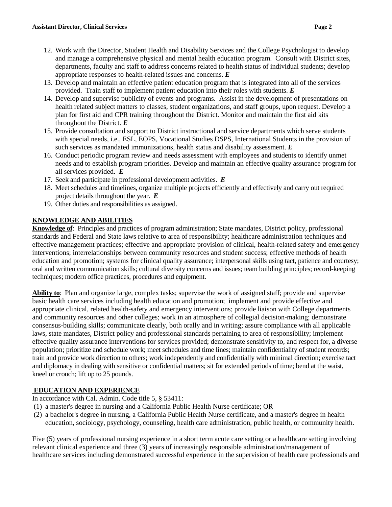- 12. Work with the Director, Student Health and Disability Services and the College Psychologist to develop and manage a comprehensive physical and mental health education program. Consult with District sites, departments, faculty and staff to address concerns related to health status of individual students; develop appropriate responses to health-related issues and concerns. *E*
- 13. Develop and maintain an effective patient education program that is integrated into all of the services provided. Train staff to implement patient education into their roles with students. *E*
- 14. Develop and supervise publicity of events and programs. Assist in the development of presentations on health related subject matters to classes, student organizations, and staff groups, upon request. Develop a plan for first aid and CPR training throughout the District. Monitor and maintain the first aid kits throughout the District. *E*
- 15. Provide consultation and support to District instructional and service departments which serve students with special needs, i.e., ESL, EOPS, Vocational Studies DSPS, International Students in the provision of such services as mandated immunizations, health status and disability assessment. *E*
- 16. Conduct periodic program review and needs assessment with employees and students to identify unmet needs and to establish program priorities. Develop and maintain an effective quality assurance program for all services provided. *E*
- 17. Seek and participate in professional development activities. *E*
- 18. Meet schedules and timelines, organize multiple projects efficiently and effectively and carry out required project details throughout the year. *E*
- 19. Other duties and responsibilities as assigned.

# **KNOWLEDGE AND ABILITIES**

**Knowledge of**: Principles and practices of program administration; State mandates, District policy, professional standards and Federal and State laws relative to area of responsibility; healthcare administration techniques and effective management practices; effective and appropriate provision of clinical, health-related safety and emergency interventions; interrelationships between community resources and student success; effective methods of health education and promotion; systems for clinical quality assurance; interpersonal skills using tact, patience and courtesy; oral and written communication skills; cultural diversity concerns and issues; team building principles; record-keeping techniques; modern office practices, procedures and equipment.

**Ability to**: Plan and organize large, complex tasks; supervise the work of assigned staff; provide and supervise basic health care services including health education and promotion; implement and provide effective and appropriate clinical, related health-safety and emergency interventions; provide liaison with College departments and community resources and other colleges; work in an atmosphere of collegial decision-making; demonstrate consensus-building skills; communicate clearly, both orally and in writing; assure compliance with all applicable laws, state mandates, District policy and professional standards pertaining to area of responsibility; implement effective quality assurance interventions for services provided; demonstrate sensitivity to, and respect for, a diverse population; prioritize and schedule work; meet schedules and time lines; maintain confidentiality of student records; train and provide work direction to others; work independently and confidentially with minimal direction; exercise tact and diplomacy in dealing with sensitive or confidential matters; sit for extended periods of time; bend at the waist, kneel or crouch; lift up to 25 pounds.

# **EDUCATION AND EXPERIENCE**

In accordance with Cal. Admin. Code title 5, § 53411:

- (1) a master's degree in nursing and a California Public Health Nurse certificate; OR
- (2) a bachelor's degree in nursing, a California Public Health Nurse certificate, and a master's degree in health education, sociology, psychology, counseling, health care administration, public health, or community health.

Five (5) years of professional nursing experience in a short term acute care setting or a healthcare setting involving relevant clinical experience and three (3) years of increasingly responsible administration/management of healthcare services including demonstrated successful experience in the supervision of health care professionals and